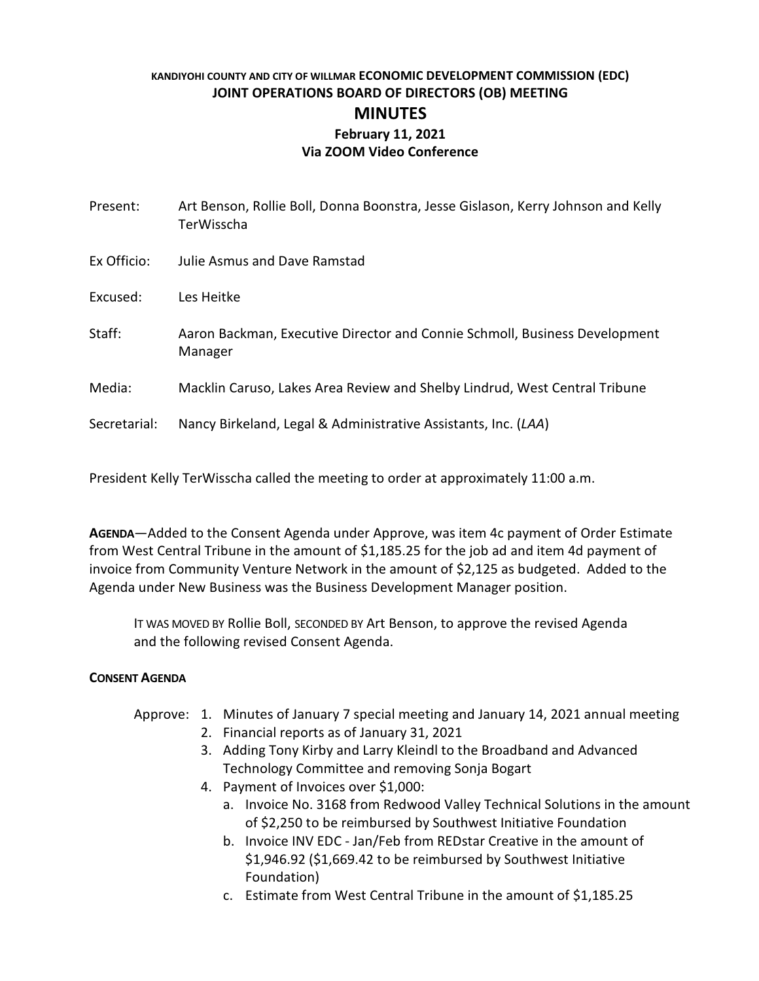# **KANDIYOHI COUNTY AND CITY OF WILLMAR ECONOMIC DEVELOPMENT COMMISSION (EDC) JOINT OPERATIONS BOARD OF DIRECTORS (OB) MEETING MINUTES February 11, 2021 Via ZOOM Video Conference**

| Present:     | Art Benson, Rollie Boll, Donna Boonstra, Jesse Gislason, Kerry Johnson and Kelly<br>TerWisscha |
|--------------|------------------------------------------------------------------------------------------------|
| Ex Officio:  | Julie Asmus and Dave Ramstad                                                                   |
| Excused:     | Les Heitke                                                                                     |
| Staff:       | Aaron Backman, Executive Director and Connie Schmoll, Business Development<br>Manager          |
| Media:       | Macklin Caruso, Lakes Area Review and Shelby Lindrud, West Central Tribune                     |
| Secretarial: | Nancy Birkeland, Legal & Administrative Assistants, Inc. (LAA)                                 |
|              |                                                                                                |

President Kelly TerWisscha called the meeting to order at approximately 11:00 a.m.

**AGENDA**—Added to the Consent Agenda under Approve, was item 4c payment of Order Estimate from West Central Tribune in the amount of \$1,185.25 for the job ad and item 4d payment of invoice from Community Venture Network in the amount of \$2,125 as budgeted. Added to the Agenda under New Business was the Business Development Manager position.

IT WAS MOVED BY Rollie Boll, SECONDED BY Art Benson, to approve the revised Agenda and the following revised Consent Agenda.

## **CONSENT AGENDA**

## Approve: 1. Minutes of January 7 special meeting and January 14, 2021 annual meeting

- 2. Financial reports as of January 31, 2021
- 3. Adding Tony Kirby and Larry Kleindl to the Broadband and Advanced Technology Committee and removing Sonja Bogart
- 4. Payment of Invoices over \$1,000:
	- a. Invoice No. 3168 from Redwood Valley Technical Solutions in the amount of \$2,250 to be reimbursed by Southwest Initiative Foundation
	- b. Invoice INV EDC Jan/Feb from REDstar Creative in the amount of \$1,946.92 (\$1,669.42 to be reimbursed by Southwest Initiative Foundation)
	- c. Estimate from West Central Tribune in the amount of \$1,185.25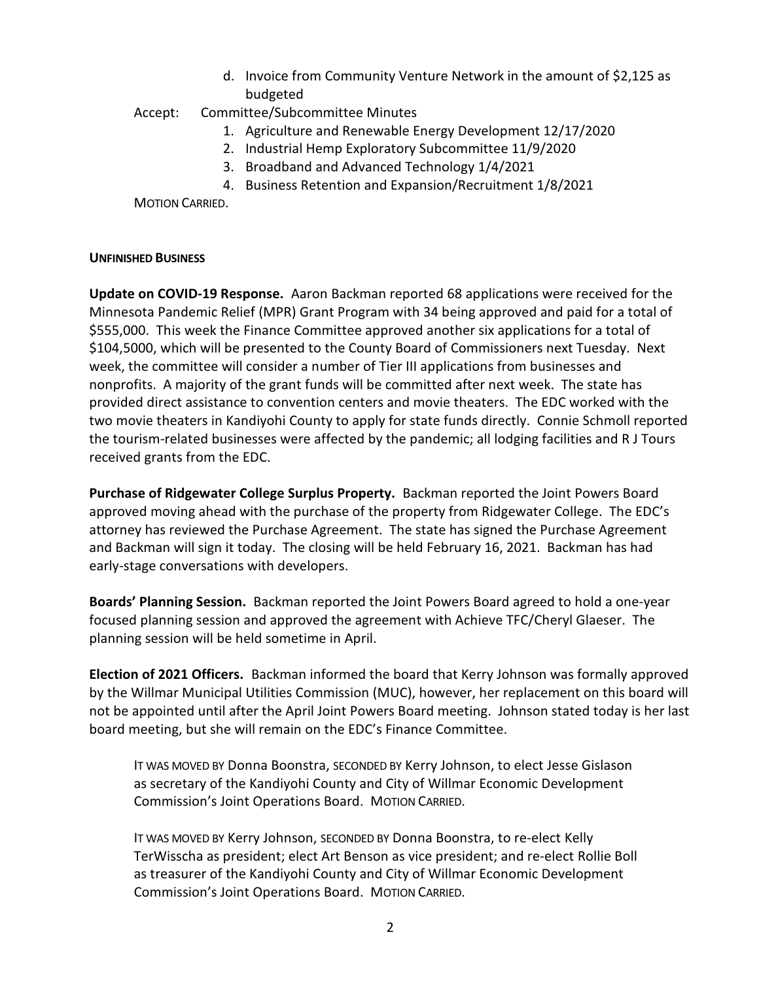d. Invoice from Community Venture Network in the amount of \$2,125 as budgeted

# Accept: Committee/Subcommittee Minutes

- 1. Agriculture and Renewable Energy Development 12/17/2020
- 2. Industrial Hemp Exploratory Subcommittee 11/9/2020
- 3. Broadband and Advanced Technology 1/4/2021
- 4. Business Retention and Expansion/Recruitment 1/8/2021

MOTION CARRIED.

### **UNFINISHED BUSINESS**

**Update on COVID-19 Response.** Aaron Backman reported 68 applications were received for the Minnesota Pandemic Relief (MPR) Grant Program with 34 being approved and paid for a total of \$555,000. This week the Finance Committee approved another six applications for a total of \$104,5000, which will be presented to the County Board of Commissioners next Tuesday. Next week, the committee will consider a number of Tier III applications from businesses and nonprofits. A majority of the grant funds will be committed after next week. The state has provided direct assistance to convention centers and movie theaters. The EDC worked with the two movie theaters in Kandiyohi County to apply for state funds directly. Connie Schmoll reported the tourism-related businesses were affected by the pandemic; all lodging facilities and R J Tours received grants from the EDC.

**Purchase of Ridgewater College Surplus Property.** Backman reported the Joint Powers Board approved moving ahead with the purchase of the property from Ridgewater College. The EDC's attorney has reviewed the Purchase Agreement. The state has signed the Purchase Agreement and Backman will sign it today. The closing will be held February 16, 2021. Backman has had early-stage conversations with developers.

**Boards' Planning Session.** Backman reported the Joint Powers Board agreed to hold a one-year focused planning session and approved the agreement with Achieve TFC/Cheryl Glaeser. The planning session will be held sometime in April.

**Election of 2021 Officers.** Backman informed the board that Kerry Johnson was formally approved by the Willmar Municipal Utilities Commission (MUC), however, her replacement on this board will not be appointed until after the April Joint Powers Board meeting. Johnson stated today is her last board meeting, but she will remain on the EDC's Finance Committee.

IT WAS MOVED BY Donna Boonstra, SECONDED BY Kerry Johnson, to elect Jesse Gislason as secretary of the Kandiyohi County and City of Willmar Economic Development Commission's Joint Operations Board. MOTION CARRIED.

IT WAS MOVED BY Kerry Johnson, SECONDED BY Donna Boonstra, to re-elect Kelly TerWisscha as president; elect Art Benson as vice president; and re-elect Rollie Boll as treasurer of the Kandiyohi County and City of Willmar Economic Development Commission's Joint Operations Board. MOTION CARRIED.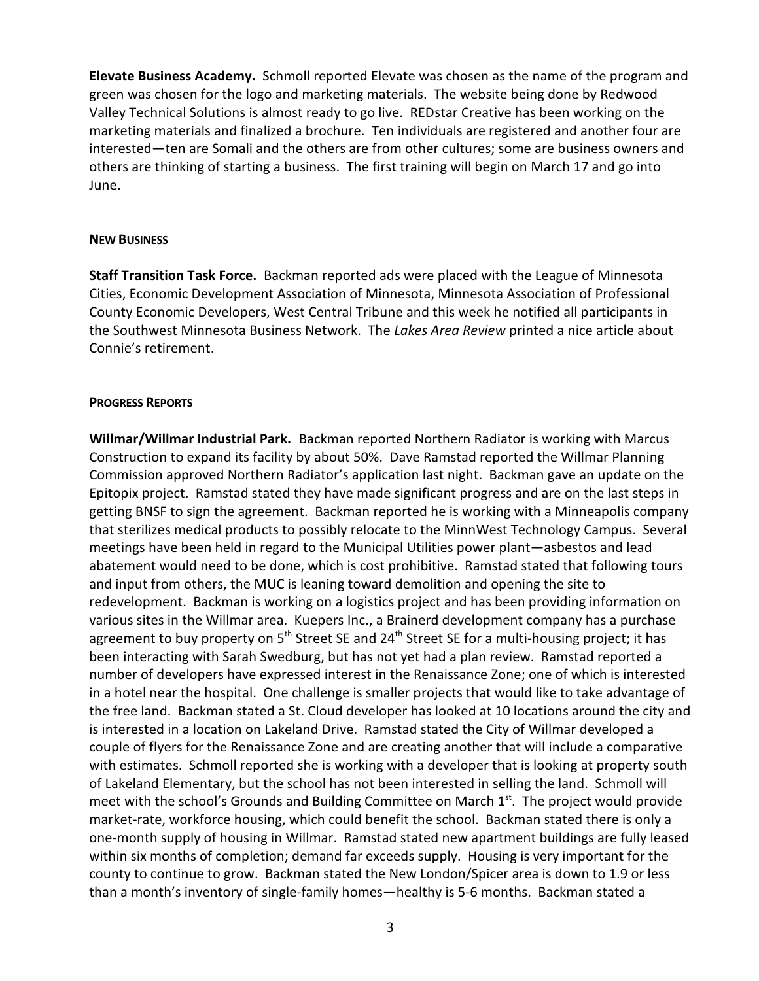**Elevate Business Academy.** Schmoll reported Elevate was chosen as the name of the program and green was chosen for the logo and marketing materials. The website being done by Redwood Valley Technical Solutions is almost ready to go live. REDstar Creative has been working on the marketing materials and finalized a brochure. Ten individuals are registered and another four are interested—ten are Somali and the others are from other cultures; some are business owners and others are thinking of starting a business. The first training will begin on March 17 and go into June.

#### **NEW BUSINESS**

**Staff Transition Task Force.** Backman reported ads were placed with the League of Minnesota Cities, Economic Development Association of Minnesota, Minnesota Association of Professional County Economic Developers, West Central Tribune and this week he notified all participants in the Southwest Minnesota Business Network. The *Lakes Area Review* printed a nice article about Connie's retirement.

#### **PROGRESS REPORTS**

**Willmar/Willmar Industrial Park.** Backman reported Northern Radiator is working with Marcus Construction to expand its facility by about 50%. Dave Ramstad reported the Willmar Planning Commission approved Northern Radiator's application last night. Backman gave an update on the Epitopix project. Ramstad stated they have made significant progress and are on the last steps in getting BNSF to sign the agreement. Backman reported he is working with a Minneapolis company that sterilizes medical products to possibly relocate to the MinnWest Technology Campus. Several meetings have been held in regard to the Municipal Utilities power plant—asbestos and lead abatement would need to be done, which is cost prohibitive. Ramstad stated that following tours and input from others, the MUC is leaning toward demolition and opening the site to redevelopment. Backman is working on a logistics project and has been providing information on various sites in the Willmar area. Kuepers Inc., a Brainerd development company has a purchase agreement to buy property on  $5<sup>th</sup>$  Street SE and 24<sup>th</sup> Street SE for a multi-housing project; it has been interacting with Sarah Swedburg, but has not yet had a plan review. Ramstad reported a number of developers have expressed interest in the Renaissance Zone; one of which is interested in a hotel near the hospital. One challenge is smaller projects that would like to take advantage of the free land. Backman stated a St. Cloud developer has looked at 10 locations around the city and is interested in a location on Lakeland Drive. Ramstad stated the City of Willmar developed a couple of flyers for the Renaissance Zone and are creating another that will include a comparative with estimates. Schmoll reported she is working with a developer that is looking at property south of Lakeland Elementary, but the school has not been interested in selling the land. Schmoll will meet with the school's Grounds and Building Committee on March  $1<sup>st</sup>$ . The project would provide market-rate, workforce housing, which could benefit the school. Backman stated there is only a one-month supply of housing in Willmar. Ramstad stated new apartment buildings are fully leased within six months of completion; demand far exceeds supply. Housing is very important for the county to continue to grow. Backman stated the New London/Spicer area is down to 1.9 or less than a month's inventory of single-family homes—healthy is 5-6 months. Backman stated a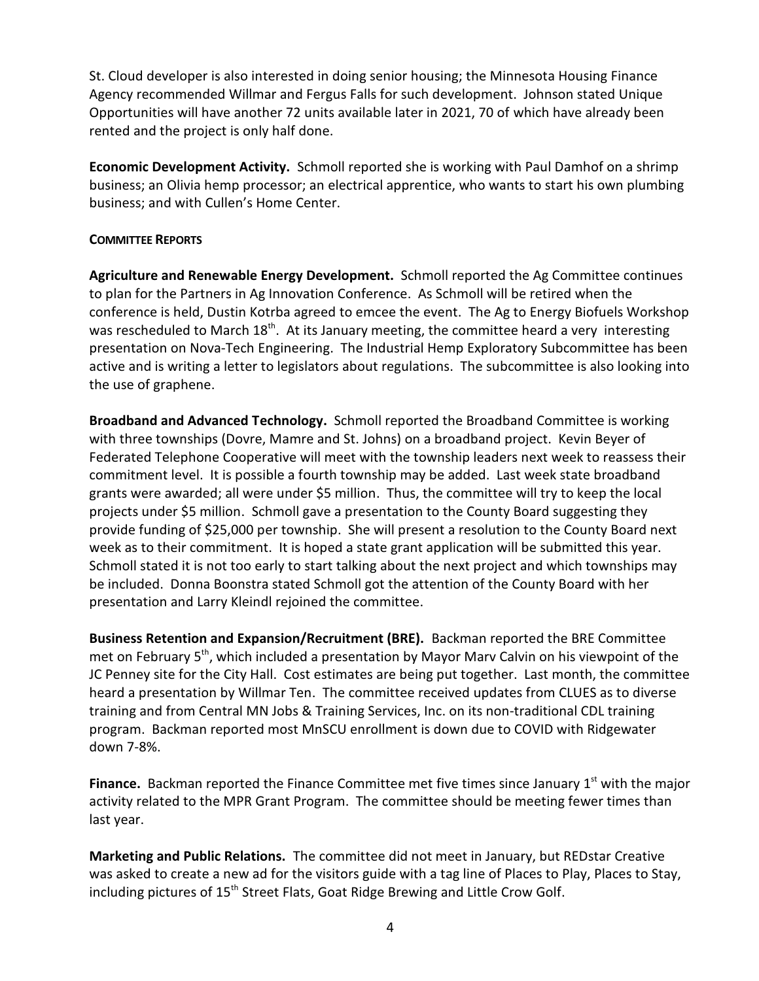St. Cloud developer is also interested in doing senior housing; the Minnesota Housing Finance Agency recommended Willmar and Fergus Falls for such development. Johnson stated Unique Opportunities will have another 72 units available later in 2021, 70 of which have already been rented and the project is only half done.

**Economic Development Activity.** Schmoll reported she is working with Paul Damhof on a shrimp business; an Olivia hemp processor; an electrical apprentice, who wants to start his own plumbing business; and with Cullen's Home Center.

## **COMMITTEE REPORTS**

**Agriculture and Renewable Energy Development.** Schmoll reported the Ag Committee continues to plan for the Partners in Ag Innovation Conference. As Schmoll will be retired when the conference is held, Dustin Kotrba agreed to emcee the event. The Ag to Energy Biofuels Workshop was rescheduled to March 18<sup>th</sup>. At its January meeting, the committee heard a very interesting presentation on Nova-Tech Engineering. The Industrial Hemp Exploratory Subcommittee has been active and is writing a letter to legislators about regulations. The subcommittee is also looking into the use of graphene.

**Broadband and Advanced Technology.** Schmoll reported the Broadband Committee is working with three townships (Dovre, Mamre and St. Johns) on a broadband project. Kevin Beyer of Federated Telephone Cooperative will meet with the township leaders next week to reassess their commitment level. It is possible a fourth township may be added. Last week state broadband grants were awarded; all were under \$5 million. Thus, the committee will try to keep the local projects under \$5 million. Schmoll gave a presentation to the County Board suggesting they provide funding of \$25,000 per township. She will present a resolution to the County Board next week as to their commitment. It is hoped a state grant application will be submitted this year. Schmoll stated it is not too early to start talking about the next project and which townships may be included. Donna Boonstra stated Schmoll got the attention of the County Board with her presentation and Larry Kleindl rejoined the committee.

**Business Retention and Expansion/Recruitment (BRE).** Backman reported the BRE Committee met on February  $5<sup>th</sup>$ , which included a presentation by Mayor Marv Calvin on his viewpoint of the JC Penney site for the City Hall. Cost estimates are being put together. Last month, the committee heard a presentation by Willmar Ten. The committee received updates from CLUES as to diverse training and from Central MN Jobs & Training Services, Inc. on its non-traditional CDL training program. Backman reported most MnSCU enrollment is down due to COVID with Ridgewater down 7-8%.

**Finance.** Backman reported the Finance Committee met five times since January 1<sup>st</sup> with the major activity related to the MPR Grant Program. The committee should be meeting fewer times than last year.

**Marketing and Public Relations.** The committee did not meet in January, but REDstar Creative was asked to create a new ad for the visitors guide with a tag line of Places to Play, Places to Stay, including pictures of 15<sup>th</sup> Street Flats, Goat Ridge Brewing and Little Crow Golf.